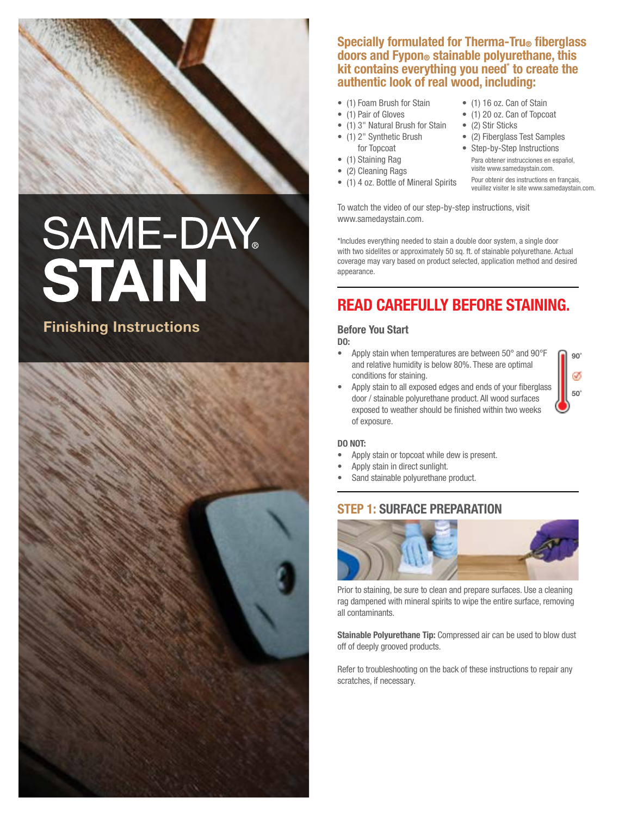

# **SAME-DAY** STAIN

## Finishing Instructions



## Specially formulated for Therma-Tru® fiberglass doors and Fypon® stainable polyurethane, this kit contains everything you need\* to create the authentic look of real wood, including:

- (1) Foam Brush for Stain
- (1) Pair of Gloves
- (1) 3" Natural Brush for Stain
- (1) 2" Synthetic Brush for Topcoat
- (1) Staining Rag
- (2) Cleaning Rags
- (1) 4 oz. Bottle of Mineral Spirits
- (1) 16 oz. Can of Stain
- (1) 20 oz. Can of Topcoat
- (2) Stir Sticks
- • (2) Fiberglass Test Samples
- Step-by-Step Instructions
	- Para obtener instrucciones en español, visite www.samedaystain.com.

 Pour obtenir des instructions en français, veuillez visiter le site www.samedaystain.com.

To watch the video of our step-by-step instructions, visit www.samedaystain.com.

\*Includes everything needed to stain a double door system, a single door with two sidelites or approximately 50 sq. ft. of stainable polyurethane. Actual coverage may vary based on product selected, application method and desired appearance.

# Read carefully before staining.

## Before You Start

## DO:

- • Apply stain when temperatures are between 50° and 90°F and relative humidity is below 80%. These are optimal conditions for staining.
- Apply stain to all exposed edges and ends of your fiberglass door / stainable polyurethane product. All wood surfaces exposed to weather should be finished within two weeks

on'

50˚

Ø



of exposure.

- Apply stain or topcoat while dew is present.
- Apply stain in direct sunlight.
- Sand stainable polyurethane product.

## STEP 1: Surface Preparation



Prior to staining, be sure to clean and prepare surfaces. Use a cleaning rag dampened with mineral spirits to wipe the entire surface, removing all contaminants.

Stainable Polyurethane Tip: Compressed air can be used to blow dust off of deeply grooved products.

Refer to troubleshooting on the back of these instructions to repair any scratches, if necessary.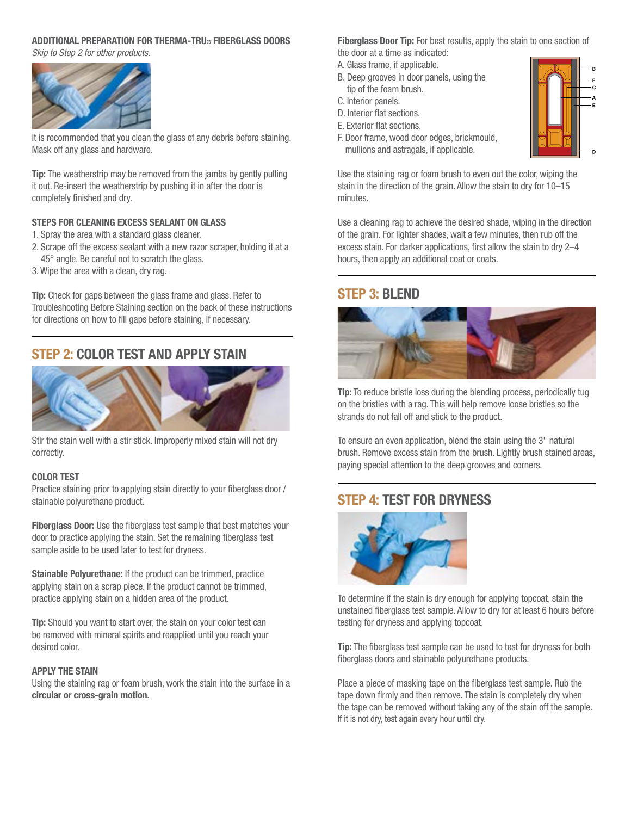## ADDITIONAL PREPARATION FOR THERMA-TRU® FIBERGLASS DOORS *Skip to Step 2 for other products.*



It is recommended that you clean the glass of any debris before staining. Mask off any glass and hardware.

**Tip:** The weatherstrip may be removed from the jambs by gently pulling it out. Re-insert the weatherstrip by pushing it in after the door is completely finished and dry.

#### Steps for Cleaning Excess Sealant on Glass

- 1. Spray the area with a standard glass cleaner.
- 2. Scrape off the excess sealant with a new razor scraper, holding it at a 45° angle. Be careful not to scratch the glass.
- 3. Wipe the area with a clean, dry rag.

**Tip:** Check for gaps between the glass frame and glass. Refer to Troubleshooting Before Staining section on the back of these instructions for directions on how to fill gaps before staining, if necessary.

## STEP 2: Color Test and Apply Stain



Stir the stain well with a stir stick. Improperly mixed stain will not dry correctly.

#### Color Test

Practice staining prior to applying stain directly to your fiberglass door / stainable polyurethane product.

Fiberglass Door: Use the fiberglass test sample that best matches your door to practice applying the stain. Set the remaining fiberglass test sample aside to be used later to test for dryness.

Stainable Polyurethane: If the product can be trimmed, practice applying stain on a scrap piece. If the product cannot be trimmed, practice applying stain on a hidden area of the product.

**Tip:** Should you want to start over, the stain on your color test can be removed with mineral spirits and reapplied until you reach your desired color.

#### Apply the Stain

Using the staining rag or foam brush, work the stain into the surface in a circular or cross-grain motion.

Fiberglass Door Tip: For best results, apply the stain to one section of the door at a time as indicated:

- A. Glass frame, if applicable.
- B. Deep grooves in door panels, using the tip of the foam brush.
- C. Interior panels.
- D. Interior flat sections.
- E. Exterior flat sections.
- F. Door frame, wood door edges, brickmould, mullions and astragals, if applicable.



Use the staining rag or foam brush to even out the color, wiping the stain in the direction of the grain. Allow the stain to dry for 10–15 minutes.

Use a cleaning rag to achieve the desired shade, wiping in the direction of the grain. For lighter shades, wait a few minutes, then rub off the excess stain. For darker applications, first allow the stain to dry 2–4 hours, then apply an additional coat or coats.

## STEP 3: Blend



Tip: To reduce bristle loss during the blending process, periodically tug on the bristles with a rag. This will help remove loose bristles so the strands do not fall off and stick to the product.

To ensure an even application, blend the stain using the 3" natural brush. Remove excess stain from the brush. Lightly brush stained areas, paying special attention to the deep grooves and corners.

## STEP 4: Test for Dryness



To determine if the stain is dry enough for applying topcoat, stain the unstained fiberglass test sample. Allow to dry for at least 6 hours before testing for dryness and applying topcoat.

Tip: The fiberglass test sample can be used to test for dryness for both fiberglass doors and stainable polyurethane products.

Place a piece of masking tape on the fiberglass test sample. Rub the tape down firmly and then remove. The stain is completely dry when the tape can be removed without taking any of the stain off the sample. If it is not dry, test again every hour until dry.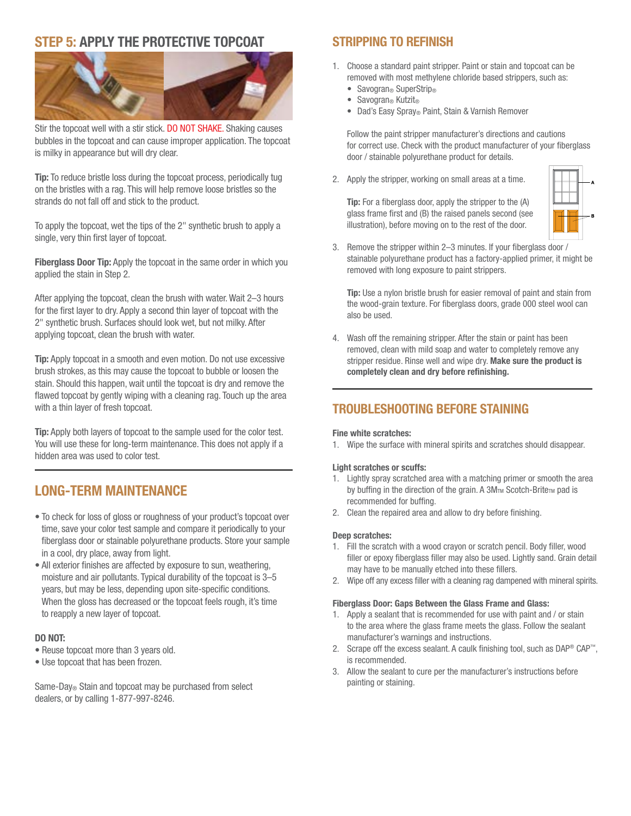## STEP 5: Apply the Protective Topcoat



Stir the topcoat well with a stir stick. DO NOT SHAKE. Shaking causes bubbles in the topcoat and can cause improper application. The topcoat is milky in appearance but will dry clear.

Tip: To reduce bristle loss during the topcoat process, periodically tug on the bristles with a rag. This will help remove loose bristles so the strands do not fall off and stick to the product.

To apply the topcoat, wet the tips of the 2" synthetic brush to apply a single, very thin first layer of topcoat.

Fiberglass Door Tip: Apply the topcoat in the same order in which you applied the stain in Step 2.

After applying the topcoat, clean the brush with water. Wait 2–3 hours for the first layer to dry. Apply a second thin layer of topcoat with the 2" synthetic brush. Surfaces should look wet, but not milky. After applying topcoat, clean the brush with water.

**Tip:** Apply topcoat in a smooth and even motion. Do not use excessive brush strokes, as this may cause the topcoat to bubble or loosen the stain. Should this happen, wait until the topcoat is dry and remove the flawed topcoat by gently wiping with a cleaning rag. Touch up the area with a thin layer of fresh topcoat.

Tip: Apply both layers of topcoat to the sample used for the color test. You will use these for long-term maintenance. This does not apply if a hidden area was used to color test.

## Long-Term Maintenance

- To check for loss of gloss or roughness of your product's topcoat over time, save your color test sample and compare it periodically to your fiberglass door or stainable polyurethane products. Store your sample in a cool, dry place, away from light.
- All exterior finishes are affected by exposure to sun, weathering, moisture and air pollutants. Typical durability of the topcoat is 3–5 years, but may be less, depending upon site-specific conditions. When the gloss has decreased or the topcoat feels rough, it's time to reapply a new layer of topcoat.

## DO NOT:

- Reuse topcoat more than 3 years old.
- Use topcoat that has been frozen.

Same-Day® Stain and topcoat may be purchased from select dealers, or by calling 1-877-997-8246.

## Stripping to Refinish

- 1. Choose a standard paint stripper. Paint or stain and topcoat can be removed with most methylene chloride based strippers, such as:
	- Savogran<sup>®</sup> SuperStrip<sup>®</sup>
	- Savogran® Kutzit®
	- • Dad's Easy Spray® Paint, Stain & Varnish Remover

Follow the paint stripper manufacturer's directions and cautions for correct use. Check with the product manufacturer of your fiberglass door / stainable polyurethane product for details.

2. Apply the stripper, working on small areas at a time.

 Tip: For a fiberglass door, apply the stripper to the (A) glass frame first and (B) the raised panels second (see illustration), before moving on to the rest of the door.



3. Remove the stripper within 2–3 minutes. If your fiberglass door / stainable polyurethane product has a factory-applied primer, it might be removed with long exposure to paint strippers.

Tip: Use a nylon bristle brush for easier removal of paint and stain from the wood-grain texture. For fiberglass doors, grade 000 steel wool can also be used.

4. Wash off the remaining stripper. After the stain or paint has been removed, clean with mild soap and water to completely remove any stripper residue. Rinse well and wipe dry. Make sure the product is completely clean and dry before refinishing.

## Troubleshooting Before Staining

#### Fine white scratches:

1. Wipe the surface with mineral spirits and scratches should disappear.

#### Light scratches or scuffs:

- 1. Lightly spray scratched area with a matching primer or smooth the area by buffing in the direction of the grain. A 3MTM Scotch-BriteTM pad is recommended for buffing.
- 2. Clean the repaired area and allow to dry before finishing.

#### Deep scratches:

- 1. Fill the scratch with a wood crayon or scratch pencil. Body filler, wood filler or epoxy fiberglass filler may also be used. Lightly sand. Grain detail may have to be manually etched into these fillers.
- 2. Wipe off any excess filler with a cleaning rag dampened with mineral spirits.

#### Fiberglass Door: Gaps Between the Glass Frame and Glass:

- 1. Apply a sealant that is recommended for use with paint and / or stain to the area where the glass frame meets the glass. Follow the sealant manufacturer's warnings and instructions.
- 2. Scrape off the excess sealant. A caulk finishing tool, such as  $DAP^{\circledcirc}$  CAP<sup>™</sup>, is recommended.
- 3. Allow the sealant to cure per the manufacturer's instructions before painting or staining.